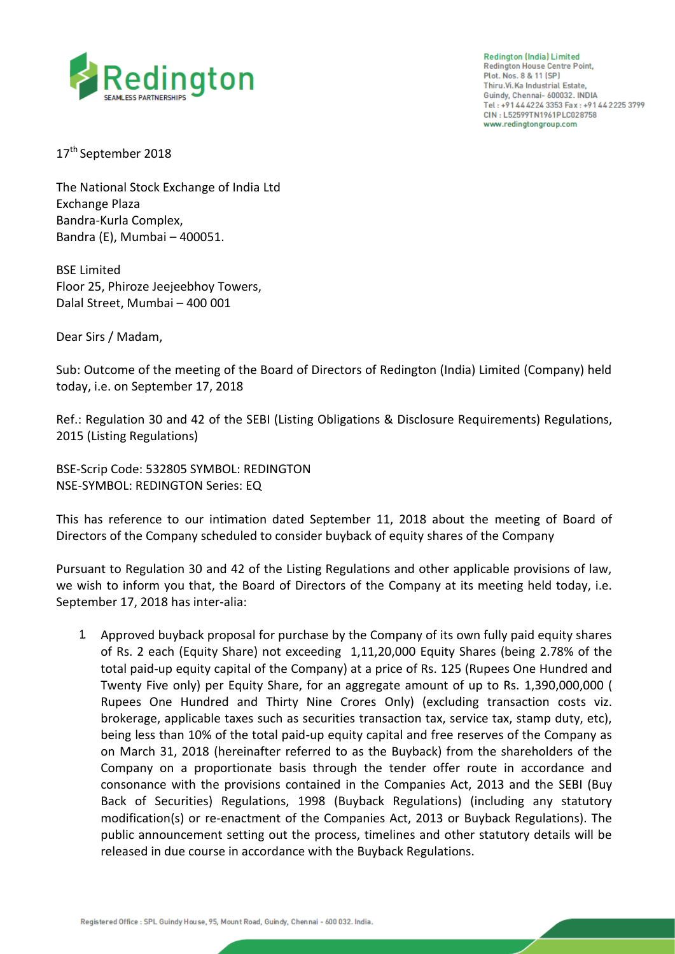

**Redington (India) Limited Redington House Centre Point,** Plot. Nos. 8 & 11 (SP) Thiru.Vi.Ka Industrial Estate, Guindy, Chennai- 600032. INDIA Tel: +91 44 42 24 3353 Fax: +91 44 2225 3799 CIN: L52599TN1961PLC028758 www.redingtongroup.com

17<sup>th</sup> September 2018

The National Stock Exchange of India Ltd Exchange Plaza Bandra-Kurla Complex, Bandra (E), Mumbai – 400051.

BSE Limited Floor 25, Phiroze Jeejeebhoy Towers, Dalal Street, Mumbai – 400 001

Dear Sirs / Madam,

Sub: Outcome of the meeting of the Board of Directors of Redington (India) Limited (Company) held today, i.e. on September 17, 2018

Ref.: Regulation 30 and 42 of the SEBI (Listing Obligations & Disclosure Requirements) Regulations, 2015 (Listing Regulations)

BSE-Scrip Code: 532805 SYMBOL: REDINGTON NSE-SYMBOL: REDINGTON Series: EQ

This has reference to our intimation dated September 11, 2018 about the meeting of Board of Directors of the Company scheduled to consider buyback of equity shares of the Company

Pursuant to Regulation 30 and 42 of the Listing Regulations and other applicable provisions of law, we wish to inform you that, the Board of Directors of the Company at its meeting held today, i.e. September 17, 2018 has inter-alia:

1. Approved buyback proposal for purchase by the Company of its own fully paid equity shares of Rs. 2 each (Equity Share) not exceeding 1,11,20,000 Equity Shares (being 2.78% of the total paid-up equity capital of the Company) at a price of Rs. 125 (Rupees One Hundred and Twenty Five only) per Equity Share, for an aggregate amount of up to Rs. 1,390,000,000 ( Rupees One Hundred and Thirty Nine Crores Only) (excluding transaction costs viz. brokerage, applicable taxes such as securities transaction tax, service tax, stamp duty, etc), being less than 10% of the total paid-up equity capital and free reserves of the Company as on March 31, 2018 (hereinafter referred to as the Buyback) from the shareholders of the Company on a proportionate basis through the tender offer route in accordance and consonance with the provisions contained in the Companies Act, 2013 and the SEBI (Buy Back of Securities) Regulations, 1998 (Buyback Regulations) (including any statutory modification(s) or re-enactment of the Companies Act, 2013 or Buyback Regulations). The public announcement setting out the process, timelines and other statutory details will be released in due course in accordance with the Buyback Regulations.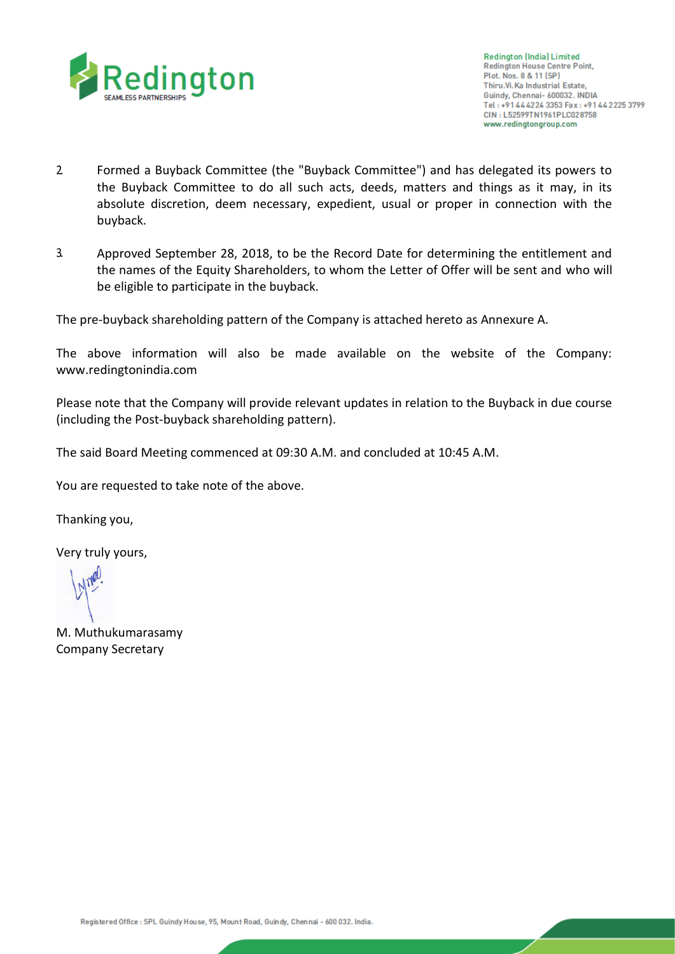

- 2. Formed a Buyback Committee (the "Buyback Committee") and has delegated its powers to the Buyback Committee to do all such acts, deeds, matters and things as it may, in its absolute discretion, deem necessary, expedient, usual or proper in connection with the buyback.
- 3. Approved September 28, 2018, to be the Record Date for determining the entitlement and the names of the Equity Shareholders, to whom the Letter of Offer will be sent and who will be eligible to participate in the buyback.

The pre-buyback shareholding pattern of the Company is attached hereto as Annexure A.

The above information will also be made available on the website of the Company: www.redingtonindia.com

Please note that the Company will provide relevant updates in relation to the Buyback in due course (including the Post-buyback shareholding pattern).

The said Board Meeting commenced at 09:30 A.M. and concluded at 10:45 A.M.

You are requested to take note of the above.

Thanking you,

Very truly yours,

M. Muthukumarasamy Company Secretary